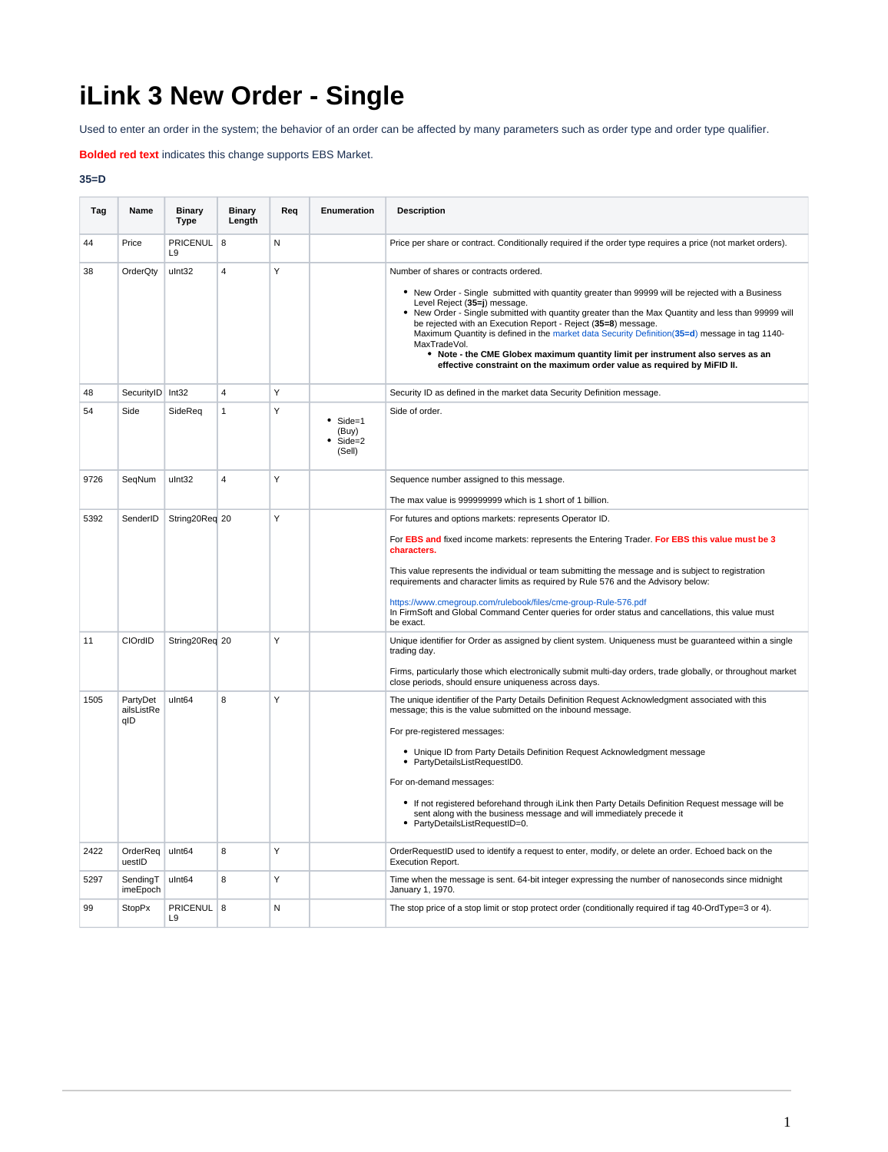## **iLink 3 New Order - Single**

Used to enter an order in the system; the behavior of an order can be affected by many parameters such as order type and order type qualifier.

**Bolded red text** indicates this change supports EBS Market.

## **35=D**

| Tag  | Name                          | <b>Binary</b><br><b>Type</b> | <b>Binary</b><br>Length | Req | Enumeration                                   | <b>Description</b>                                                                                                                                                                                                                                                                                                                                                                                                                                                                                                                                                                                                               |
|------|-------------------------------|------------------------------|-------------------------|-----|-----------------------------------------------|----------------------------------------------------------------------------------------------------------------------------------------------------------------------------------------------------------------------------------------------------------------------------------------------------------------------------------------------------------------------------------------------------------------------------------------------------------------------------------------------------------------------------------------------------------------------------------------------------------------------------------|
| 44   | Price                         | PRICENUL<br>L9               | 8                       | N   |                                               | Price per share or contract. Conditionally required if the order type requires a price (not market orders).                                                                                                                                                                                                                                                                                                                                                                                                                                                                                                                      |
| 38   | OrderQty                      | ulnt32                       | $\overline{4}$          | Y   |                                               | Number of shares or contracts ordered.<br>• New Order - Single submitted with quantity greater than 99999 will be rejected with a Business<br>Level Reject (35=j) message.<br>New Order - Single submitted with quantity greater than the Max Quantity and less than 99999 will<br>be rejected with an Execution Report - Reject (35=8) message.<br>Maximum Quantity is defined in the market data Security Definition(35=d) message in tag 1140-<br>MaxTradeVol.<br>• Note - the CME Globex maximum quantity limit per instrument also serves as an<br>effective constraint on the maximum order value as required by MiFID II. |
| 48   | SecurityID Int32              |                              | $\overline{4}$          | Y   |                                               | Security ID as defined in the market data Security Definition message.                                                                                                                                                                                                                                                                                                                                                                                                                                                                                                                                                           |
| 54   | Side                          | SideReg                      | $\mathbf{1}$            | Y   | $\bullet$ Side=1<br>(Buy)<br>Side=2<br>(Sell) | Side of order.                                                                                                                                                                                                                                                                                                                                                                                                                                                                                                                                                                                                                   |
| 9726 | SegNum                        | ulnt32                       | $\overline{4}$          | Y   |                                               | Sequence number assigned to this message.                                                                                                                                                                                                                                                                                                                                                                                                                                                                                                                                                                                        |
|      |                               |                              |                         | Y   |                                               | The max value is 999999999 which is 1 short of 1 billion.                                                                                                                                                                                                                                                                                                                                                                                                                                                                                                                                                                        |
| 5392 | SenderID                      | String20Req 20               |                         |     |                                               | For futures and options markets: represents Operator ID.<br>For EBS and fixed income markets: represents the Entering Trader. For EBS this value must be 3<br>characters.<br>This value represents the individual or team submitting the message and is subject to registration<br>requirements and character limits as required by Rule 576 and the Advisory below:<br>https://www.cmegroup.com/rulebook/files/cme-group-Rule-576.pdf<br>In FirmSoft and Global Command Center queries for order status and cancellations, this value must<br>be exact.                                                                         |
| 11   | CIOrdID                       | String20Req 20               |                         | Y   |                                               | Unique identifier for Order as assigned by client system. Uniqueness must be quaranteed within a single<br>trading day.<br>Firms, particularly those which electronically submit multi-day orders, trade globally, or throughout market                                                                                                                                                                                                                                                                                                                                                                                          |
| 1505 | PartyDet<br>ailsListRe<br>qID | ulnt64                       | 8                       | Y   |                                               | close periods, should ensure uniqueness across days.<br>The unique identifier of the Party Details Definition Request Acknowledgment associated with this<br>message; this is the value submitted on the inbound message.<br>For pre-registered messages:<br>• Unique ID from Party Details Definition Request Acknowledgment message<br>• PartyDetailsListRequestID0.<br>For on-demand messages:<br>• If not registered beforehand through iLink then Party Details Definition Request message will be<br>sent along with the business message and will immediately precede it<br>PartyDetailsListRequestID=0.                  |
| 2422 | OrderReq<br>uestID            | ulnt64                       | 8                       | Y   |                                               | OrderRequestID used to identify a request to enter, modify, or delete an order. Echoed back on the<br>Execution Report.                                                                                                                                                                                                                                                                                                                                                                                                                                                                                                          |
| 5297 | SendingT<br>imeEpoch          | ulnt64                       | 8                       | Y   |                                               | Time when the message is sent. 64-bit integer expressing the number of nanoseconds since midnight<br>January 1, 1970.                                                                                                                                                                                                                                                                                                                                                                                                                                                                                                            |
| 99   | <b>StopPx</b>                 | PRICENUL 8<br>L <sub>9</sub> |                         | N   |                                               | The stop price of a stop limit or stop protect order (conditionally required if tag 40-OrdType=3 or 4).                                                                                                                                                                                                                                                                                                                                                                                                                                                                                                                          |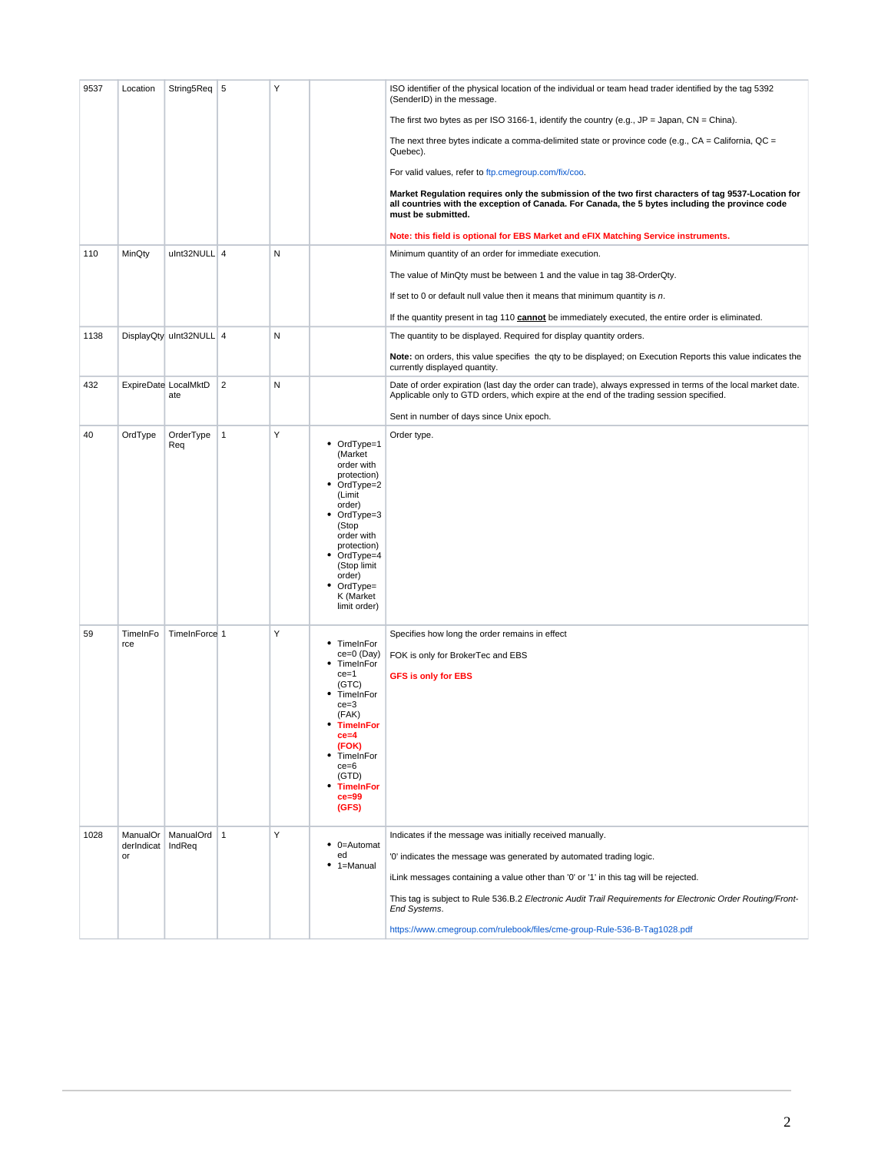| 9537 | Location                     | String5Req   5              |                | Y |                                                                                                                                                                                                                                       | ISO identifier of the physical location of the individual or team head trader identified by the tag 5392<br>(SenderID) in the message.                                                                                                                                                                                                                                                                                               |
|------|------------------------------|-----------------------------|----------------|---|---------------------------------------------------------------------------------------------------------------------------------------------------------------------------------------------------------------------------------------|--------------------------------------------------------------------------------------------------------------------------------------------------------------------------------------------------------------------------------------------------------------------------------------------------------------------------------------------------------------------------------------------------------------------------------------|
|      |                              |                             |                |   |                                                                                                                                                                                                                                       | The first two bytes as per ISO 3166-1, identify the country (e.g., $JP = Japan$ , $CN = China$ ).                                                                                                                                                                                                                                                                                                                                    |
|      |                              |                             |                |   |                                                                                                                                                                                                                                       | The next three bytes indicate a comma-delimited state or province code (e.g., $CA = California$ , $QC =$<br>Quebec).                                                                                                                                                                                                                                                                                                                 |
|      |                              |                             |                |   |                                                                                                                                                                                                                                       | For valid values, refer to ftp.cmegroup.com/fix/coo.                                                                                                                                                                                                                                                                                                                                                                                 |
|      |                              |                             |                |   |                                                                                                                                                                                                                                       | Market Regulation requires only the submission of the two first characters of tag 9537-Location for<br>all countries with the exception of Canada. For Canada, the 5 bytes including the province code<br>must be submitted.                                                                                                                                                                                                         |
|      |                              |                             |                |   |                                                                                                                                                                                                                                       | Note: this field is optional for EBS Market and eFIX Matching Service instruments.                                                                                                                                                                                                                                                                                                                                                   |
| 110  | MinQty                       | ulnt32NULL 4                |                | N |                                                                                                                                                                                                                                       | Minimum quantity of an order for immediate execution.                                                                                                                                                                                                                                                                                                                                                                                |
|      |                              |                             |                |   |                                                                                                                                                                                                                                       | The value of MinQty must be between 1 and the value in tag 38-OrderQty.                                                                                                                                                                                                                                                                                                                                                              |
|      |                              |                             |                |   |                                                                                                                                                                                                                                       | If set to 0 or default null value then it means that minimum quantity is $n$ .                                                                                                                                                                                                                                                                                                                                                       |
|      |                              |                             |                |   |                                                                                                                                                                                                                                       | If the quantity present in tag 110 <b>cannot</b> be immediately executed, the entire order is eliminated.                                                                                                                                                                                                                                                                                                                            |
| 1138 |                              | DisplayQty uInt32NULL 4     |                | N |                                                                                                                                                                                                                                       | The quantity to be displayed. Required for display quantity orders.                                                                                                                                                                                                                                                                                                                                                                  |
|      |                              |                             |                |   |                                                                                                                                                                                                                                       | Note: on orders, this value specifies the qty to be displayed; on Execution Reports this value indicates the<br>currently displayed quantity.                                                                                                                                                                                                                                                                                        |
| 432  |                              | ExpireDate LocalMktD<br>ate | $\overline{2}$ | N |                                                                                                                                                                                                                                       | Date of order expiration (last day the order can trade), always expressed in terms of the local market date.<br>Applicable only to GTD orders, which expire at the end of the trading session specified.                                                                                                                                                                                                                             |
|      |                              |                             |                |   |                                                                                                                                                                                                                                       | Sent in number of days since Unix epoch.                                                                                                                                                                                                                                                                                                                                                                                             |
| 40   | OrdType                      | OrderType<br>Req            | $\mathbf{1}$   | Υ | OrdType=1<br>(Market<br>order with<br>protection)<br>OrdType=2<br>(Limit<br>order)<br>• OrdType=3<br>(Stop<br>order with<br>protection)<br>OrdType=4<br>٠<br>(Stop limit<br>order)<br>$\bullet$ OrdType=<br>K (Market<br>limit order) | Order type.                                                                                                                                                                                                                                                                                                                                                                                                                          |
| 59   | TimeInFo<br>rce              | TimeInForce 1               |                | Υ | TimeInFor<br>٠<br>ce=0 (Day)<br>TimeInFor<br>$ce = 1$<br>(GTC)<br>TimeInFor<br>$ce = 3$<br>(FAK)<br>* TimeInFor<br>$ce = 4$<br>(FOK)<br>• TimeInFor<br>$ce = 6$<br>(GTD)<br><b>TimeInFor</b><br>$ce = 99$<br>(GFS)                    | Specifies how long the order remains in effect<br>FOK is only for BrokerTec and EBS<br><b>GFS is only for EBS</b>                                                                                                                                                                                                                                                                                                                    |
| 1028 | ManualOr<br>derIndicat<br>or | ManualOrd 1<br>IndReq       |                | Υ | 0=Automat<br>ed<br>$• 1 =$ Manual                                                                                                                                                                                                     | Indicates if the message was initially received manually.<br>'0' indicates the message was generated by automated trading logic.<br>iLink messages containing a value other than '0' or '1' in this tag will be rejected.<br>This tag is subject to Rule 536.B.2 Electronic Audit Trail Requirements for Electronic Order Routing/Front-<br>End Systems.<br>https://www.cmegroup.com/rulebook/files/cme-group-Rule-536-B-Tag1028.pdf |